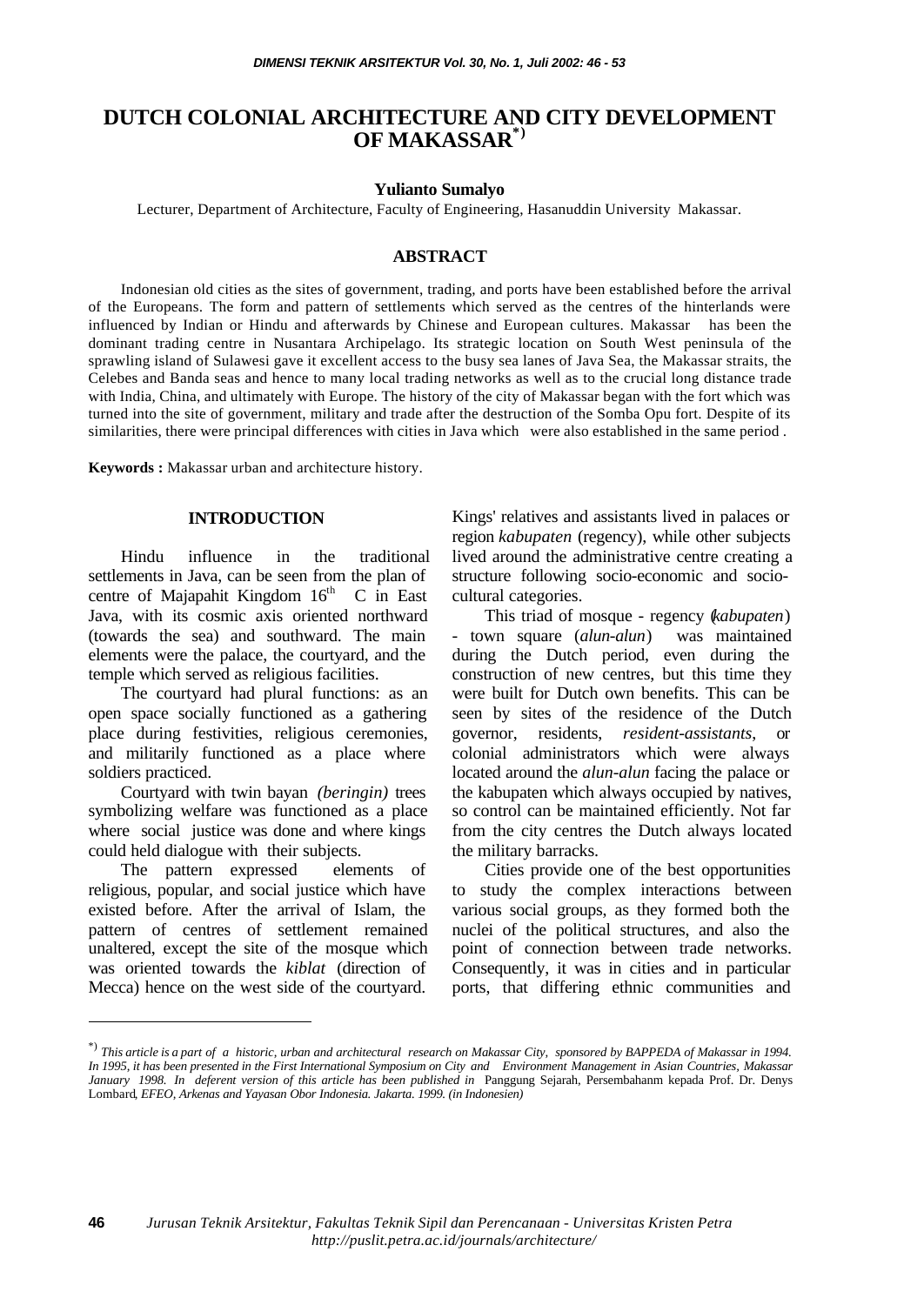# **DUTCH COLONIAL ARCHITECTURE AND CITY DEVELOPMENT OF MAKASSAR\*)**

#### **Yulianto Sumalyo**

Lecturer, Department of Architecture, Faculty of Engineering, Hasanuddin University Makassar.

### **ABSTRACT**

Indonesian old cities as the sites of government, trading, and ports have been established before the arrival of the Europeans. The form and pattern of settlements which served as the centres of the hinterlands were influenced by Indian or Hindu and afterwards by Chinese and European cultures. Makassar has been the dominant trading centre in Nusantara Archipelago. Its strategic location on South West peninsula of the sprawling island of Sulawesi gave it excellent access to the busy sea lanes of Java Sea, the Makassar straits, the Celebes and Banda seas and hence to many local trading networks as well as to the crucial long distance trade with India, China, and ultimately with Europe. The history of the city of Makassar began with the fort which was turned into the site of government, military and trade after the destruction of the Somba Opu fort. Despite of its similarities, there were principal differences with cities in Java which were also established in the same period .

**Keywords :** Makassar urban and architecture history.

### **INTRODUCTION**

Hindu influence in the traditional settlements in Java, can be seen from the plan of centre of Majapahit Kingdom  $16<sup>th</sup>$  C in East Java, with its cosmic axis oriented northward (towards the sea) and southward. The main elements were the palace, the courtyard, and the temple which served as religious facilities.

The courtyard had plural functions: as an open space socially functioned as a gathering place during festivities, religious ceremonies, and militarily functioned as a place where soldiers practiced.

Courtyard with twin bayan *(beringin)* trees symbolizing welfare was functioned as a place where social justice was done and where kings could held dialogue with their subjects.

The pattern expressed elements of religious, popular, and social justice which have existed before. After the arrival of Islam, the pattern of centres of settlement remained unaltered, except the site of the mosque which was oriented towards the *kiblat* (direction of Mecca) hence on the west side of the courtyard.

l

Kings' relatives and assistants lived in palaces or region *kabupaten* (regency), while other subjects lived around the administrative centre creating a structure following socio-economic and sociocultural categories.

This triad of mosque - regency (*kabupaten*) - town square (*alun-alun*) was maintained during the Dutch period, even during the construction of new centres, but this time they were built for Dutch own benefits. This can be seen by sites of the residence of the Dutch governor, residents, *resident-assistants*, or colonial administrators which were always located around the *alun-alun* facing the palace or the kabupaten which always occupied by natives, so control can be maintained efficiently. Not far from the city centres the Dutch always located the military barracks.

Cities provide one of the best opportunities to study the complex interactions between various social groups, as they formed both the nuclei of the political structures, and also the point of connection between trade networks. Consequently, it was in cities and in particular ports, that differing ethnic communities and

<sup>\*)</sup> *This article is a part of a historic, urban and architectural research on Makassar City, sponsored by BAPPEDA of Makassar in 1994. In 1995, it has been presented in the First International Symposium on City and Environment Management in Asian Countries, Makassar January 1998. In deferent version of this article has been published in* Panggung Sejarah, Persembahanm kepada Prof. Dr. Denys Lombard*, EFEO, Arkenas and Yayasan Obor Indonesia. Jakarta. 1999. (in Indonesien)*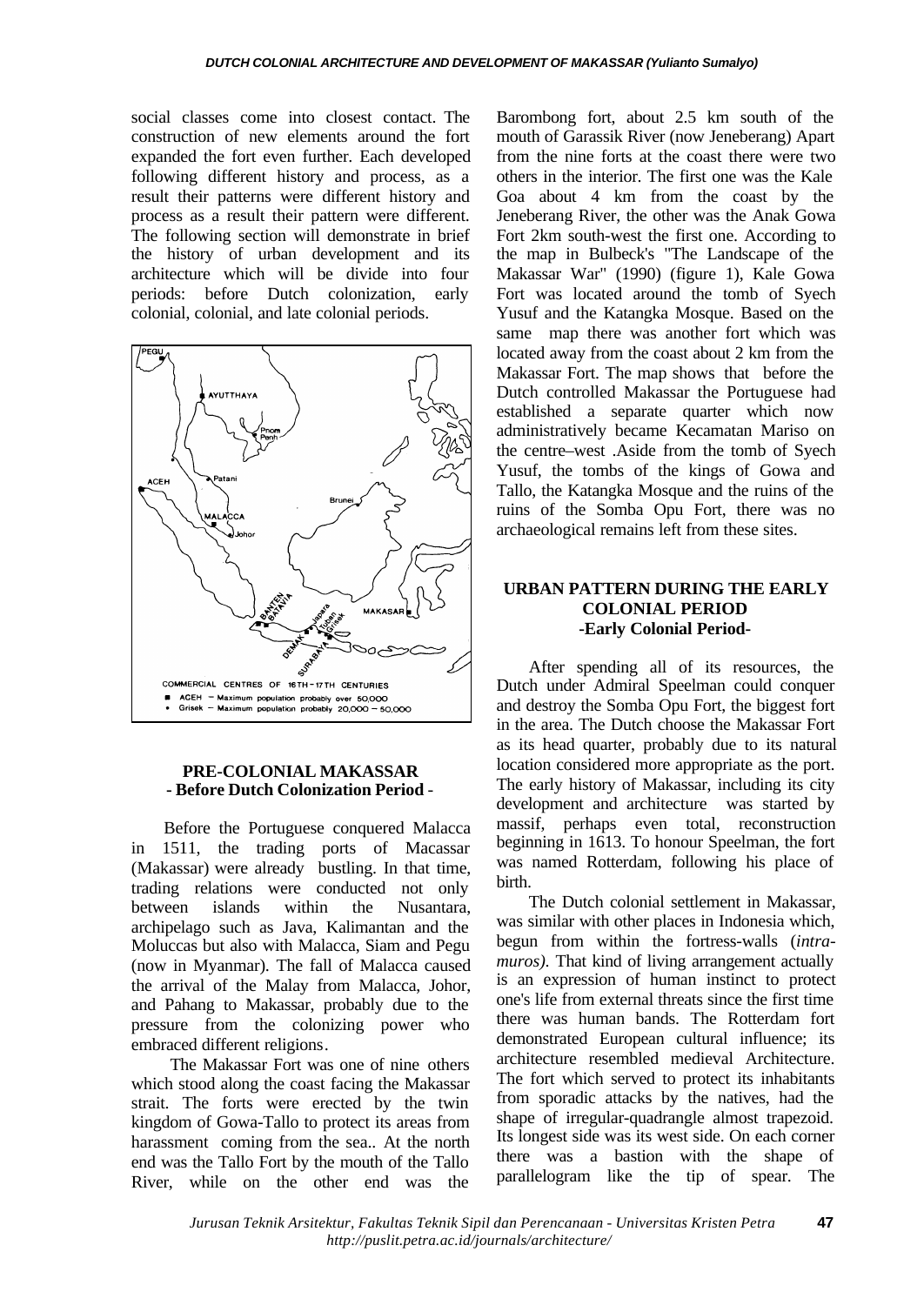social classes come into closest contact. The construction of new elements around the fort expanded the fort even further. Each developed following different history and process, as a result their patterns were different history and process as a result their pattern were different. The following section will demonstrate in brief the history of urban development and its architecture which will be divide into four periods: before Dutch colonization, early colonial, colonial, and late colonial periods.



### **PRE-COLONIAL MAKASSAR - Before Dutch Colonization Period** -

Before the Portuguese conquered Malacca in 1511, the trading ports of Macassar (Makassar) were already bustling. In that time, trading relations were conducted not only between islands within the Nusantara, archipelago such as Java, Kalimantan and the Moluccas but also with Malacca, Siam and Pegu (now in Myanmar). The fall of Malacca caused the arrival of the Malay from Malacca, Johor, and Pahang to Makassar, probably due to the pressure from the colonizing power who embraced different religions.

 The Makassar Fort was one of nine others which stood along the coast facing the Makassar strait. The forts were erected by the twin kingdom of Gowa-Tallo to protect its areas from harassment coming from the sea.. At the north end was the Tallo Fort by the mouth of the Tallo River, while on the other end was the

Barombong fort, about 2.5 km south of the mouth of Garassik River (now Jeneberang) Apart from the nine forts at the coast there were two others in the interior. The first one was the Kale Goa about 4 km from the coast by the Jeneberang River, the other was the Anak Gowa Fort 2km south-west the first one. According to the map in Bulbeck's "The Landscape of the Makassar War" (1990) (figure 1), Kale Gowa Fort was located around the tomb of Syech Yusuf and the Katangka Mosque. Based on the same map there was another fort which was located away from the coast about 2 km from the Makassar Fort. The map shows that before the Dutch controlled Makassar the Portuguese had established a separate quarter which now administratively became Kecamatan Mariso on the centre–west .Aside from the tomb of Syech Yusuf, the tombs of the kings of Gowa and Tallo, the Katangka Mosque and the ruins of the ruins of the Somba Opu Fort, there was no archaeological remains left from these sites.

### **URBAN PATTERN DURING THE EARLY COLONIAL PERIOD -Early Colonial Period-**

After spending all of its resources, the Dutch under Admiral Speelman could conquer and destroy the Somba Opu Fort, the biggest fort in the area. The Dutch choose the Makassar Fort as its head quarter, probably due to its natural location considered more appropriate as the port. The early history of Makassar, including its city development and architecture was started by massif, perhaps even total, reconstruction beginning in 1613. To honour Speelman, the fort was named Rotterdam, following his place of birth.

The Dutch colonial settlement in Makassar, was similar with other places in Indonesia which, begun from within the fortress-walls (*intramuros*). That kind of living arrangement actually is an expression of human instinct to protect one's life from external threats since the first time there was human bands. The Rotterdam fort demonstrated European cultural influence; its architecture resembled medieval Architecture. The fort which served to protect its inhabitants from sporadic attacks by the natives, had the shape of irregular-quadrangle almost trapezoid. Its longest side was its west side. On each corner there was a bastion with the shape of parallelogram like the tip of spear. The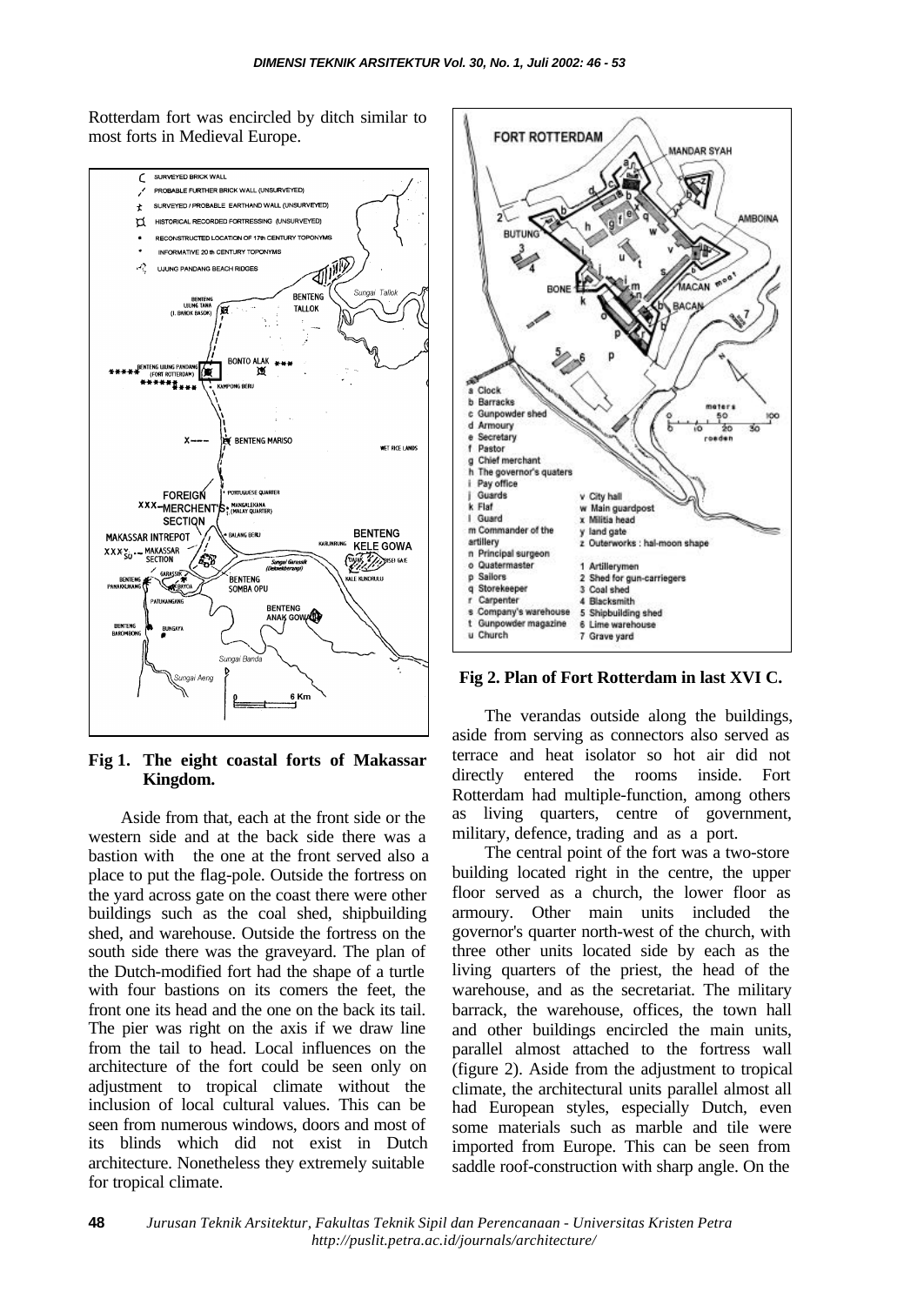Rotterdam fort was encircled by ditch similar to most forts in Medieval Europe.



**Fig 1. The eight coastal forts of Makassar Kingdom.**

Aside from that, each at the front side or the western side and at the back side there was a bastion with the one at the front served also a place to put the flag-pole. Outside the fortress on the yard across gate on the coast there were other buildings such as the coal shed, shipbuilding shed, and warehouse. Outside the fortress on the south side there was the graveyard. The plan of the Dutch-modified fort had the shape of a turtle with four bastions on its comers the feet, the front one its head and the one on the back its tail. The pier was right on the axis if we draw line from the tail to head. Local influences on the architecture of the fort could be seen only on adjustment to tropical climate without the inclusion of local cultural values. This can be seen from numerous windows, doors and most of its blinds which did not exist in Dutch architecture. Nonetheless they extremely suitable for tropical climate.



**Fig 2. Plan of Fort Rotterdam in last XVI C.**

The verandas outside along the buildings, aside from serving as connectors also served as terrace and heat isolator so hot air did not directly entered the rooms inside. Fort Rotterdam had multiple-function, among others as living quarters, centre of government, military, defence, trading and as a port.

The central point of the fort was a two-store building located right in the centre, the upper floor served as a church, the lower floor as armoury. Other main units included the governor's quarter north-west of the church, with three other units located side by each as the living quarters of the priest, the head of the warehouse, and as the secretariat. The military barrack, the warehouse, offices, the town hall and other buildings encircled the main units, parallel almost attached to the fortress wall (figure 2). Aside from the adjustment to tropical climate, the architectural units parallel almost all had European styles, especially Dutch, even some materials such as marble and tile were imported from Europe. This can be seen from saddle roof-construction with sharp angle. On the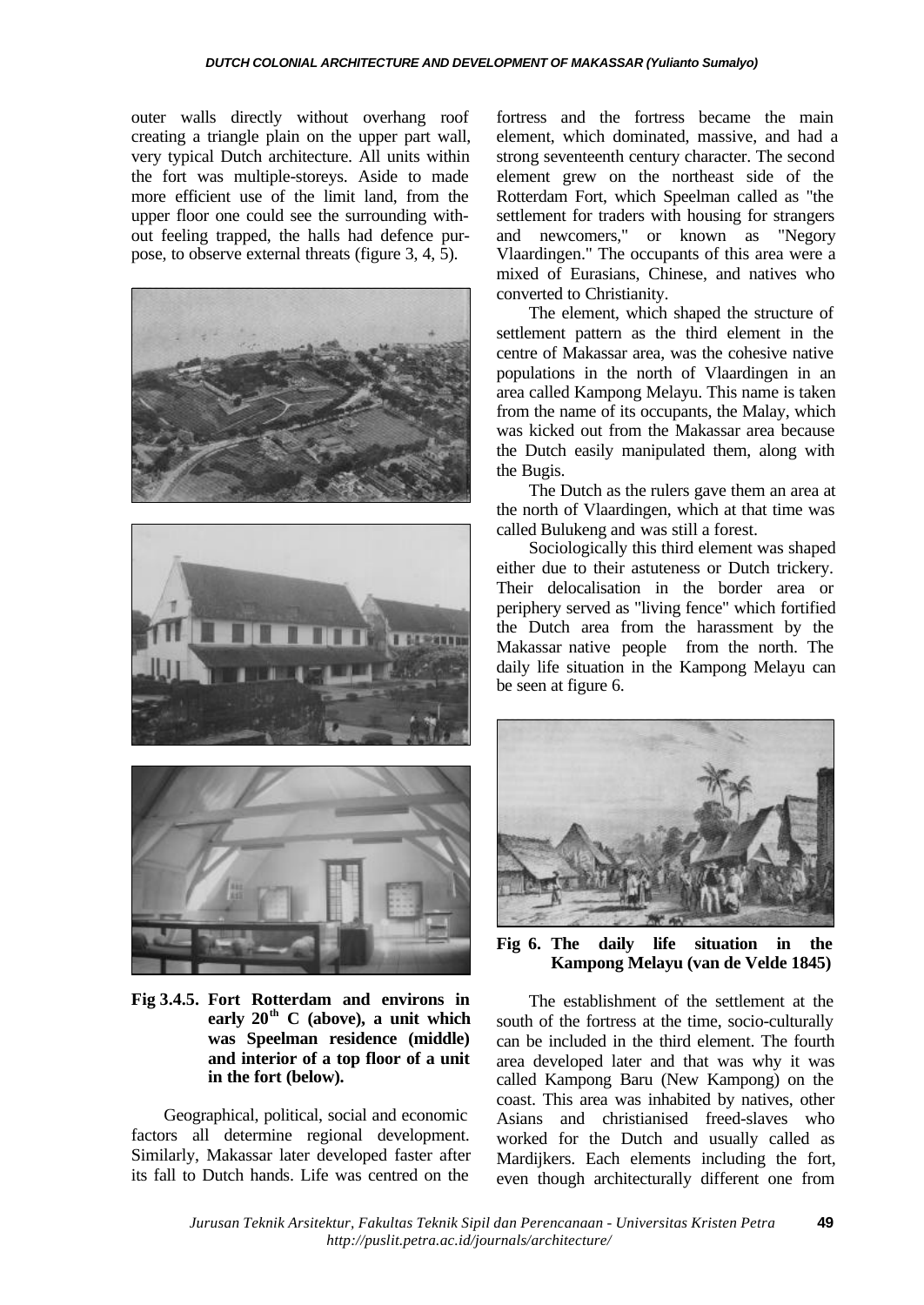outer walls directly without overhang roof creating a triangle plain on the upper part wall, very typical Dutch architecture. All units within the fort was multiple-storeys. Aside to made more efficient use of the limit land, from the upper floor one could see the surrounding without feeling trapped, the halls had defence purpose, to observe external threats (figure 3, 4, 5).







**Fig 3.4.5. Fort Rotterdam and environs in early 20th C (above), a unit which was Speelman residence (middle) and interior of a top floor of a unit in the fort (below).**

Geographical, political, social and economic factors all determine regional development. Similarly, Makassar later developed faster after its fall to Dutch hands. Life was centred on the

fortress and the fortress became the main element, which dominated, massive, and had a strong seventeenth century character. The second element grew on the northeast side of the Rotterdam Fort, which Speelman called as "the settlement for traders with housing for strangers and newcomers," or known as "Negory Vlaardingen." The occupants of this area were a mixed of Eurasians, Chinese, and natives who converted to Christianity.

The element, which shaped the structure of settlement pattern as the third element in the centre of Makassar area, was the cohesive native populations in the north of Vlaardingen in an area called Kampong Melayu. This name is taken from the name of its occupants, the Malay, which was kicked out from the Makassar area because the Dutch easily manipulated them, along with the Bugis.

The Dutch as the rulers gave them an area at the north of Vlaardingen, which at that time was called Bulukeng and was still a forest.

Sociologically this third element was shaped either due to their astuteness or Dutch trickery. Their delocalisation in the border area or periphery served as "living fence" which fortified the Dutch area from the harassment by the Makassar native people from the north. The daily life situation in the Kampong Melayu can be seen at figure 6.



**Fig 6. The daily life situation in the Kampong Melayu (van de Velde 1845)**

The establishment of the settlement at the south of the fortress at the time, socio-culturally can be included in the third element. The fourth area developed later and that was why it was called Kampong Baru (New Kampong) on the coast. This area was inhabited by natives, other Asians and christianised freed-slaves who worked for the Dutch and usually called as Mardijkers. Each elements including the fort, even though architecturally different one from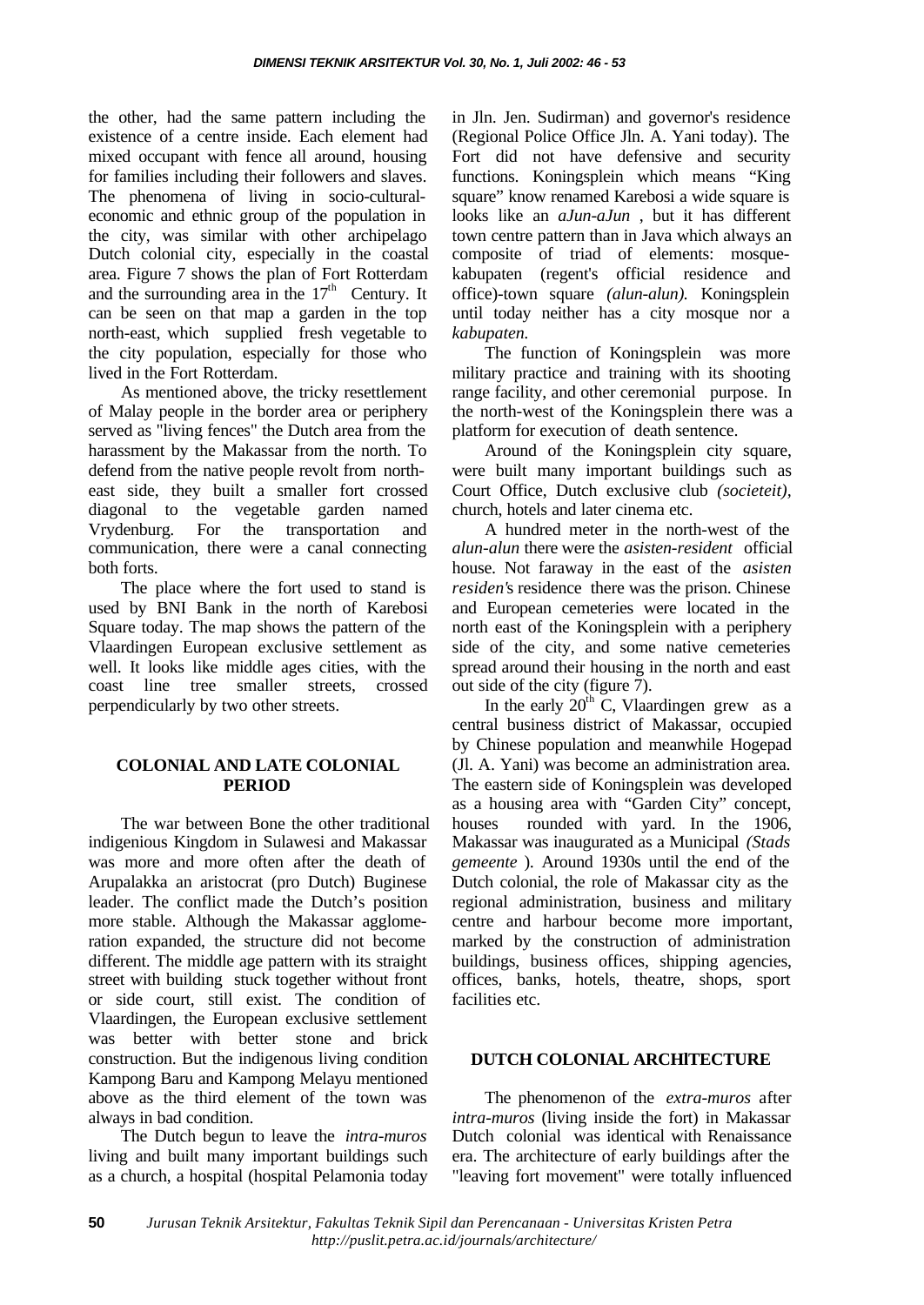the other, had the same pattern including the existence of a centre inside. Each element had mixed occupant with fence all around, housing for families including their followers and slaves. The phenomena of living in socio-culturaleconomic and ethnic group of the population in the city, was similar with other archipelago Dutch colonial city, especially in the coastal area. Figure 7 shows the plan of Fort Rotterdam and the surrounding area in the  $17<sup>th</sup>$  Century. It can be seen on that map a garden in the top north-east, which supplied fresh vegetable to the city population, especially for those who lived in the Fort Rotterdam.

As mentioned above, the tricky resettlement of Malay people in the border area or periphery served as "living fences" the Dutch area from the harassment by the Makassar from the north. To defend from the native people revolt from northeast side, they built a smaller fort crossed diagonal to the vegetable garden named Vrydenburg. For the transportation and communication, there were a canal connecting both forts.

The place where the fort used to stand is used by BNI Bank in the north of Karebosi Square today. The map shows the pattern of the Vlaardingen European exclusive settlement as well. It looks like middle ages cities, with the coast line tree smaller streets, crossed perpendicularly by two other streets.

## **COLONIAL AND LATE COLONIAL PERIOD**

The war between Bone the other traditional indigenious Kingdom in Sulawesi and Makassar was more and more often after the death of Arupalakka an aristocrat (pro Dutch) Buginese leader. The conflict made the Dutch's position more stable. Although the Makassar agglomeration expanded, the structure did not become different. The middle age pattern with its straight street with building stuck together without front or side court, still exist. The condition of Vlaardingen, the European exclusive settlement was better with better stone and brick construction. But the indigenous living condition Kampong Baru and Kampong Melayu mentioned above as the third element of the town was always in bad condition.

The Dutch begun to leave the *intra-muros* living and built many important buildings such as a church, a hospital (hospital Pelamonia today

in Jln. Jen. Sudirman) and governor's residence (Regional Police Office Jln. A. Yani today). The Fort did not have defensive and security functions. Koningsplein which means "King square" know renamed Karebosi a wide square is looks like an *aJun-aJun* , but it has different town centre pattern than in Java which always an composite of triad of elements: mosquekabupaten (regent's official residence and office)-town square *(alun-alun).* Koningsplein until today neither has a city mosque nor a *kabupaten.*

The function of Koningsplein was more military practice and training with its shooting range facility, and other ceremonial purpose. In the north-west of the Koningsplein there was a platform for execution of death sentence.

Around of the Koningsplein city square, were built many important buildings such as Court Office, Dutch exclusive club *(societeit),* church, hotels and later cinema etc.

A hundred meter in the north-west of the *alun-alun* there were the *asisten-resident* official house. Not faraway in the east of the *asisten residen'*s residence there was the prison. Chinese and European cemeteries were located in the north east of the Koningsplein with a periphery side of the city, and some native cemeteries spread around their housing in the north and east out side of the city (figure 7).

In the early  $20<sup>th</sup>$  C, Vlaardingen grew as a central business district of Makassar, occupied by Chinese population and meanwhile Hogepad (Jl. A. Yani) was become an administration area. The eastern side of Koningsplein was developed as a housing area with "Garden City" concept, houses rounded with yard. In the 1906, Makassar was inaugurated as a Municipal *(Stads gemeente* ). Around 1930s until the end of the Dutch colonial, the role of Makassar city as the regional administration, business and military centre and harbour become more important, marked by the construction of administration buildings, business offices, shipping agencies, offices, banks, hotels, theatre, shops, sport facilities etc.

## **DUTCH COLONIAL ARCHlTECTURE**

The phenomenon of the *extra-muros* after *intra-muros* (living inside the fort) in Makassar Dutch colonial was identical with Renaissance era. The architecture of early buildings after the "leaving fort movement" were totally influenced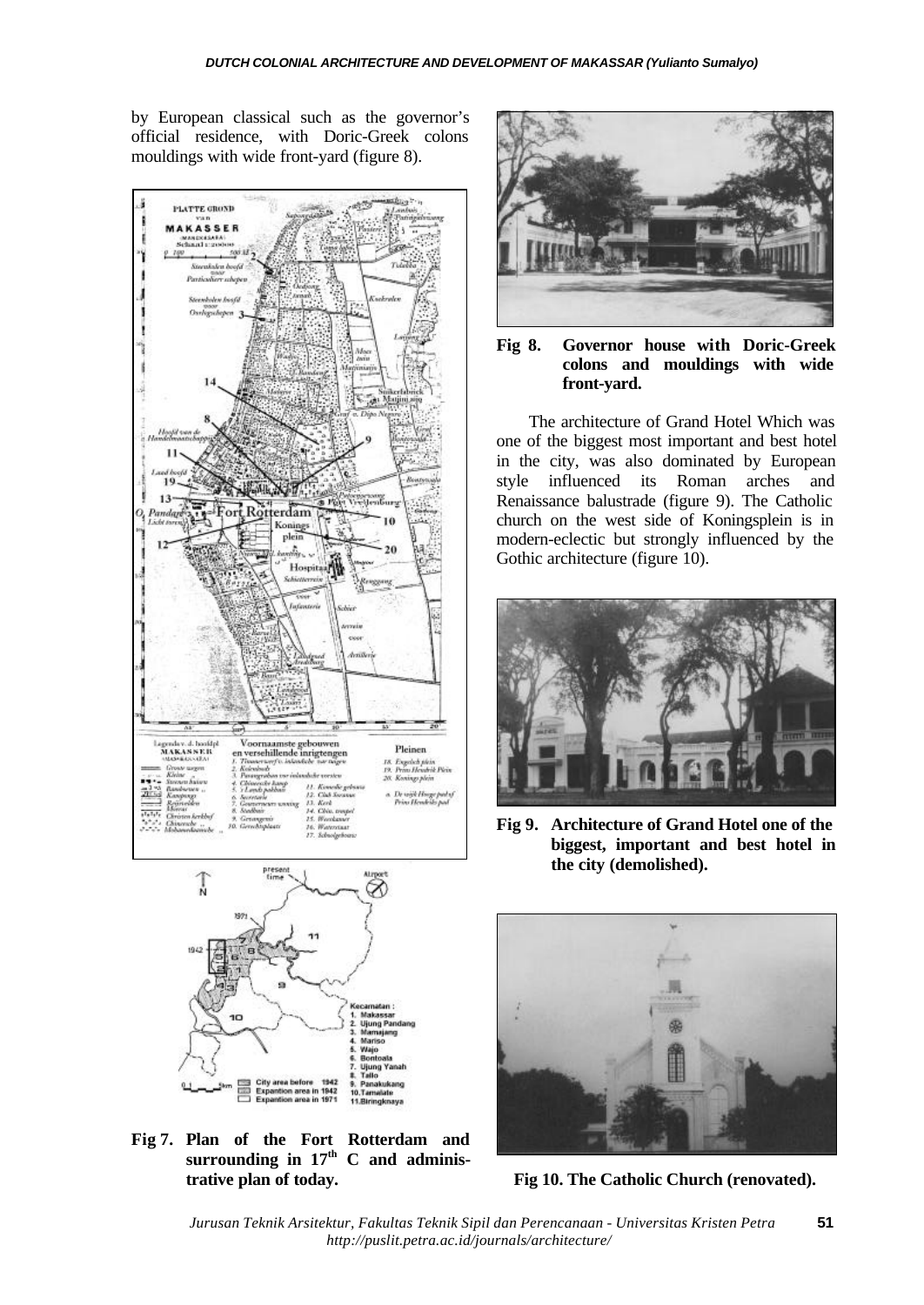by European classical such as the governor's official residence, with Doric-Greek colons mouldings with wide front-yard (figure 8).





**Fig 7. Plan of the Fort Rotterdam and surrounding in 17th C and administrative plan of today.**



**Fig 8. Governor house with Doric-Greek colons and mouldings with wide front-yard.**

The architecture of Grand Hotel Which was one of the biggest most important and best hotel in the city, was also dominated by European style influenced its Roman arches and Renaissance balustrade (figure 9). The Catholic church on the west side of Koningsplein is in modern-eclectic but strongly influenced by the Gothic architecture (figure 10).



**Fig 9. Architecture of Grand Hotel one of the biggest, important and best hotel in the city (demolished).**



**Fig 10. The Catholic Church (renovated).**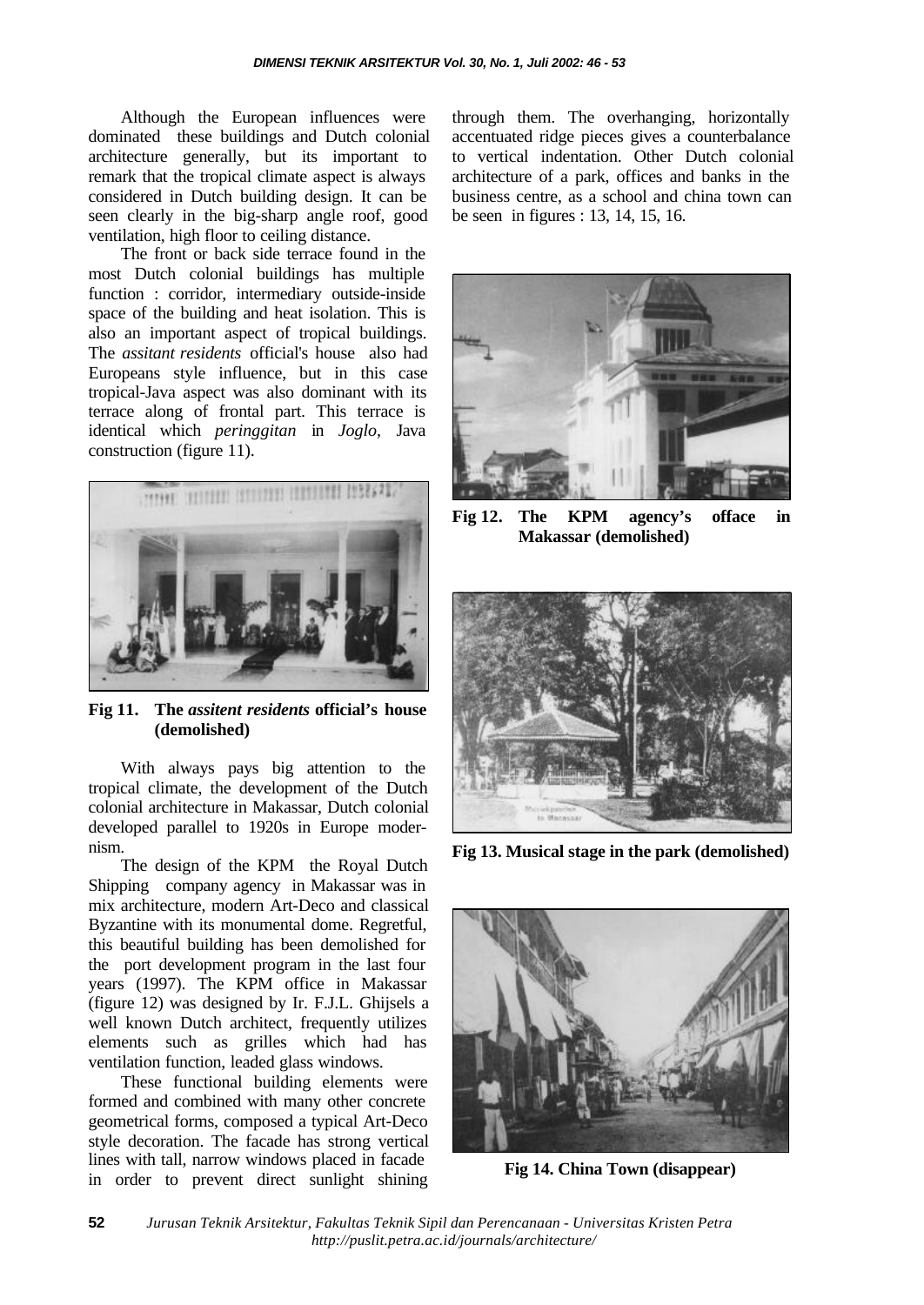Although the European influences were dominated these buildings and Dutch colonial architecture generally, but its important to remark that the tropical climate aspect is always considered in Dutch building design. It can be seen clearly in the big-sharp angle roof, good ventilation, high floor to ceiling distance.

The front or back side terrace found in the most Dutch colonial buildings has multiple function : corridor, intermediary outside-inside space of the building and heat isolation. This is also an important aspect of tropical buildings. The *assitant residents* official's house also had Europeans style influence, but in this case tropical-Java aspect was also dominant with its terrace along of frontal part. This terrace is identical which *peringgitan* in *Joglo,* Java construction (figure 11).



**Fig 11. The** *assitent residents* **official's house (demolished)**

With always pays big attention to the tropical climate, the development of the Dutch colonial architecture in Makassar, Dutch colonial developed parallel to 1920s in Europe modernism.

The design of the KPM the Royal Dutch Shipping company agency in Makassar was in mix architecture, modern Art-Deco and classical Byzantine with its monumental dome. Regretful, this beautiful building has been demolished for the port development program in the last four years (1997). The KPM office in Makassar (figure 12) was designed by Ir. F.J.L. Ghijsels a well known Dutch architect, frequently utilizes elements such as grilles which had has ventilation function, leaded glass windows.

These functional building elements were formed and combined with many other concrete geometrical forms, composed a typical Art-Deco style decoration. The facade has strong vertical lines with tall, narrow windows placed in facade in order to prevent direct sunlight shining through them. The overhanging, horizontally accentuated ridge pieces gives a counterbalance to vertical indentation. Other Dutch colonial architecture of a park, offices and banks in the business centre, as a school and china town can be seen in figures : 13, 14, 15, 16.



**Fig 12. The KPM agency's offace in Makassar (demolished)**



**Fig 13. Musical stage in the park (demolished)**



**Fig 14. China Town (disappear)**